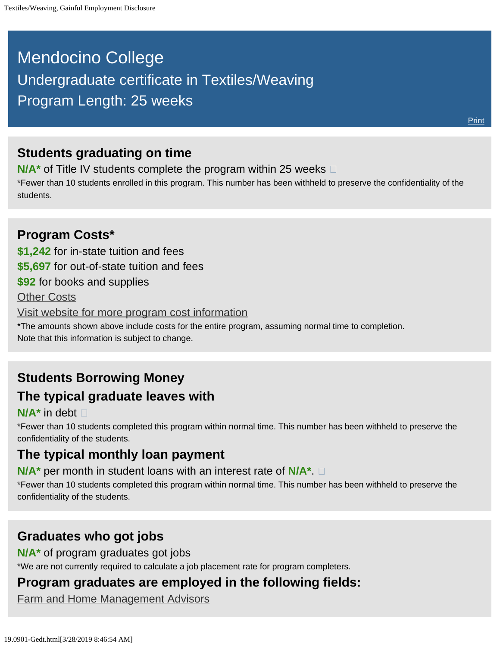# <span id="page-0-0"></span>Mendocino College Undergraduate certificate in Textiles/Weaving Program Length: 25 weeks

### **Students graduating on time**

**N/A<sup>\*</sup>** of Title IV students complete the program within 25 weeks  $\Box$ 

\*Fewer than 10 students enrolled in this program. This number has been withheld to preserve the confidentiality of the students.

### **Program Costs\* \$1,242** for in-state tuition and fees **\$5,697** for out-of-state tuition and fees **\$92** for books and supplies [Other Costs](#page-0-0) [Visit website for more program cost information](https://www.mendocino.edu/program/textiles-weaving) \*The amounts shown above include costs for the entire program, assuming normal time to completion. Note that this information is subject to change.

## **Students Borrowing Money The typical graduate leaves with**

#### **N/A\*** in debt

\*Fewer than 10 students completed this program within normal time. This number has been withheld to preserve the confidentiality of the students.

## **The typical monthly loan payment**

**N/A\*** per month in student loans with an interest rate of **N/A\***.

\*Fewer than 10 students completed this program within normal time. This number has been withheld to preserve the confidentiality of the students.

### **Graduates who got jobs**

**N/A\*** of program graduates got jobs

\*We are not currently required to calculate a job placement rate for program completers.

# **Program graduates are employed in the following fields:**

[Farm and Home Management Advisors](http://online.onetcenter.org/link/summary/25-9021.00)